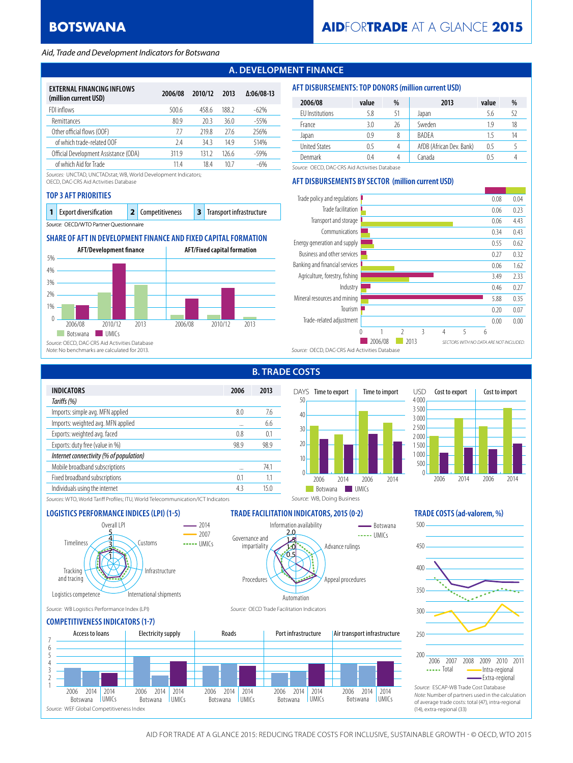#### *Aid, Trade and Development Indicators for Botswana*

## **A. DEVELOPMENT FINANCE**

| <b>EXTERNAL FINANCING INFLOWS</b><br>(million current USD) | 2006/08 | 2010/12 | 2013  | $\Delta:06/08-13$ |
|------------------------------------------------------------|---------|---------|-------|-------------------|
| FDI inflows                                                | 500.6   | 458.6   | 188.2 | $-62%$            |
| <b>Remittances</b>                                         | 80.9    | 20.3    | 36.0  | $-55%$            |
| Other official flows (OOF)                                 | 77      | 2198    | 276   | 256%              |
| of which trade-related OOF                                 | 74      | 343     | 149   | 514%              |
| Official Development Assistance (ODA)                      | 3119    | 131 2   | 1266  | $-59%$            |
| of which Aid for Trade                                     | 11 4    | 184     | 10 7  | -6%               |

*Sources:* UNCTAD, UNCTADstat; WB, World Development Indicators;

OECD, DAC-CRS Aid Activities Database

#### **TOP 3 AFT PRIORITIES**

| 1 Export diversification               |  | 2 Competitiveness |  | 3 Transport infrastructure |  |  |
|----------------------------------------|--|-------------------|--|----------------------------|--|--|
| Source: OECD/WTO Partner Questionnaire |  |                   |  |                            |  |  |

## **SHARE OF AFT IN DEVELOPMENT FINANCE AND FIXED CAPITAL FORMATION**



| 2006/08              | value | %  | 2013                     | value | $\%$ |  |
|----------------------|-------|----|--------------------------|-------|------|--|
| EU Institutions      | 5.8   | 51 | Japan                    | 5.6   | 52   |  |
| France               | 3.0   | 26 | Sweden                   | 19    | 18   |  |
| Japan                | 0.9   | 8  | <b>BADFA</b>             | 15    | 14   |  |
| <b>United States</b> | 0.5   | 4  | AfDB (African Dev. Bank) | 0.5   |      |  |
| Denmark              | 0.4   |    | Canada                   | () 5  |      |  |

*Source:* OECD, DAC-CRS Aid Activities Database

### **AFT DISBURSEMENTS BY SECTOR (million current USD)**

**AFT DISBURSEMENTS: TOP DONORS (million current USD)**



|                                         |          | .    |
|-----------------------------------------|----------|------|
| <b>INDICATORS</b>                       | 2006     | 2013 |
| Tariffs (%)                             |          |      |
| Imports: simple avg. MFN applied        | 8.0      | 7.6  |
| Imports: weighted avg. MFN applied      | $\cdots$ | 6.6  |
| Exports: weighted avg. faced            | 0.8      | 0.1  |
| Exports: duty free (value in %)         | 98.9     | 98.9 |
| Internet connectivity (% of population) |          |      |
| Mobile broadband subscriptions          |          | 74.1 |
| Fixed broadband subscriptions           | 0.1      | 1.1  |
| Individuals using the internet          | 4.3      | 15.0 |
|                                         |          |      |

# **B. TRADE COSTS**

Information availability

0.5 1.0 <u>مر</u> 2.0

Automation



Advance rulings

 $\frac{1}{2}$   $\frac{1}{2}$   $\frac{1}{2}$   $\frac{1}{2}$   $\frac{1}{2}$   $\frac{1}{2}$   $\frac{1}{2}$   $\frac{1}{2}$   $\frac{1}{2}$   $\frac{1}{2}$   $\frac{1}{2}$   $\frac{1}{2}$   $\frac{1}{2}$   $\frac{1}{2}$   $\frac{1}{2}$   $\frac{1}{2}$   $\frac{1}{2}$   $\frac{1}{2}$   $\frac{1}{2}$   $\frac{1}{2}$   $\frac{1}{2}$   $\frac{1}{2}$  - Botswana

Appeal procedures



*Sources:* WTO, World Tariff Profiles; ITU, World Telecommunication/ICT Indicators

#### **LOGISTICS PERFORMANCE INDICES (LPI) (1-5) TRADE FACILITATION INDICATORS, 2015 (0-2) TRADE COSTS (ad-valorem, %)**



*Source:* WB Logistics Performance Index (LPI) *Source:* OECD Trade Facilitation Indicators

#### **COMPETITIVENESS INDICATORS (1-7)**



Procedures

Governance and impartiality